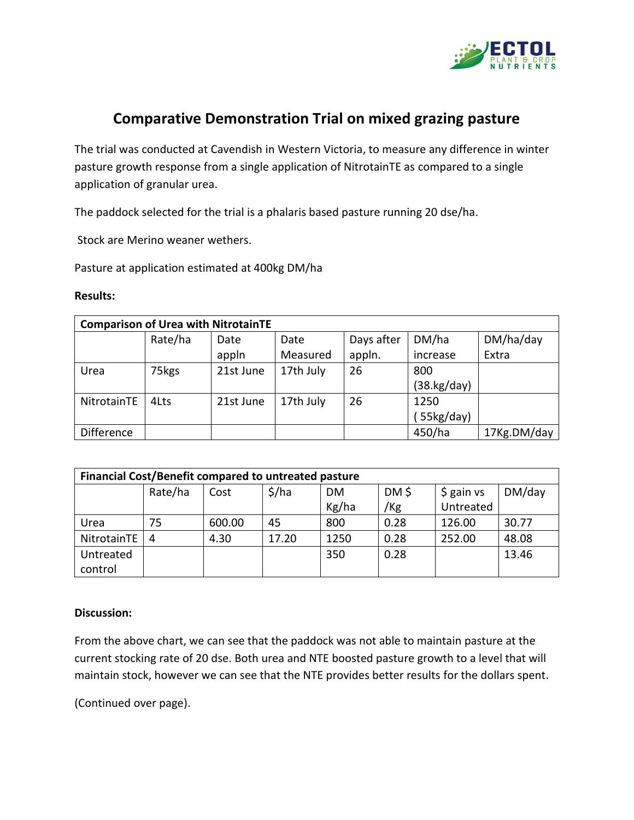

## **Comparative Demonstration Trial on mixed grazing pasture**

The trial was conducted at Cavendish in Western Victoria, to measure any difference in winter pasture growth response from a single application of NitrotainTE as compared to a single application of granular urea.

The paddock selected for the trial is a phalaris based pasture running 20 dse/ha.

Stock are Merino weaner wethers.

Pasture at application estimated at 400kg DM/ha

## **Results:**

| <b>Comparison of Urea with NitrotainTE</b> |         |           |           |            |                       |             |  |  |  |  |  |  |
|--------------------------------------------|---------|-----------|-----------|------------|-----------------------|-------------|--|--|--|--|--|--|
|                                            | Rate/ha | Date      | Date      | Days after | DM/ha                 | DM/ha/day   |  |  |  |  |  |  |
|                                            |         | appln     | Measured  | appln.     | increase              | Extra       |  |  |  |  |  |  |
| Urea                                       | 75kgs   | 21st June | 17th July | 26         | 800                   |             |  |  |  |  |  |  |
|                                            |         |           |           |            | $(38 \text{ kg/day})$ |             |  |  |  |  |  |  |
| NitrotainTE                                | 4Lts    | 21st June | 17th July | 26         | 1250                  |             |  |  |  |  |  |  |
|                                            |         |           |           |            | 55kg/day)             |             |  |  |  |  |  |  |
| <b>Difference</b>                          |         |           |           |            | 450/ha                | 17Kg.DM/day |  |  |  |  |  |  |

| Financial Cost/Benefit compared to untreated pasture |         |        |       |       |       |             |        |  |  |  |  |
|------------------------------------------------------|---------|--------|-------|-------|-------|-------------|--------|--|--|--|--|
|                                                      | Rate/ha | Cost   | \$/ha | DM.   | DM \$ | $$$ gain vs | DM/day |  |  |  |  |
|                                                      |         |        |       | Kg/ha | /Kg   | Untreated   |        |  |  |  |  |
| Urea                                                 | 75      | 600.00 | 45    | 800   | 0.28  | 126.00      | 30.77  |  |  |  |  |
| NitrotainTE                                          | 4       | 4.30   | 17.20 | 1250  | 0.28  | 252.00      | 48.08  |  |  |  |  |
| Untreated                                            |         |        |       | 350   | 0.28  |             | 13.46  |  |  |  |  |
| control                                              |         |        |       |       |       |             |        |  |  |  |  |

## **Discussion:**

From the above chart, we can see that the paddock was not able to maintain pasture at the current stocking rate of 20 dse. Both urea and NTE boosted pasture growth to a level that will maintain stock, however we can see that the NTE provides better results for the dollars spent.

(Continued over page).